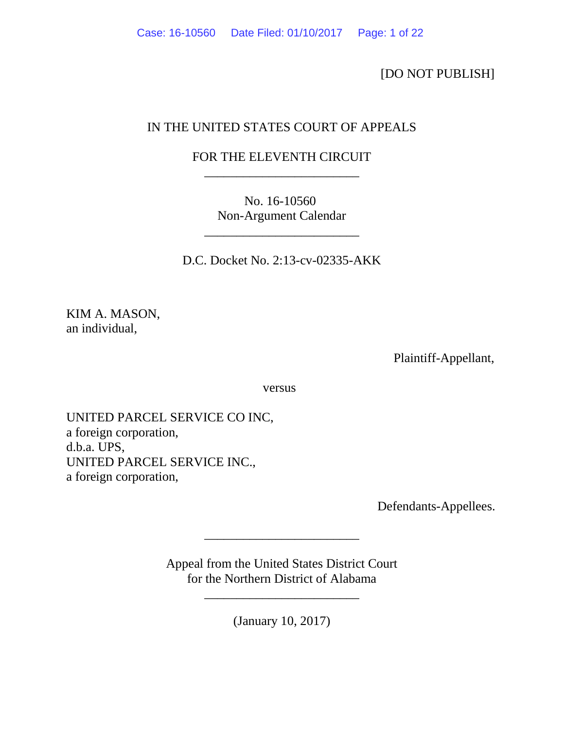[DO NOT PUBLISH]

# IN THE UNITED STATES COURT OF APPEALS

# FOR THE ELEVENTH CIRCUIT \_\_\_\_\_\_\_\_\_\_\_\_\_\_\_\_\_\_\_\_\_\_\_\_

No. 16-10560 Non-Argument Calendar

\_\_\_\_\_\_\_\_\_\_\_\_\_\_\_\_\_\_\_\_\_\_\_\_

D.C. Docket No. 2:13-cv-02335-AKK

KIM A. MASON, an individual,

Plaintiff-Appellant,

versus

UNITED PARCEL SERVICE CO INC, a foreign corporation, d.b.a. UPS, UNITED PARCEL SERVICE INC., a foreign corporation,

Defendants-Appellees.

Appeal from the United States District Court for the Northern District of Alabama

\_\_\_\_\_\_\_\_\_\_\_\_\_\_\_\_\_\_\_\_\_\_\_\_

\_\_\_\_\_\_\_\_\_\_\_\_\_\_\_\_\_\_\_\_\_\_\_\_

(January 10, 2017)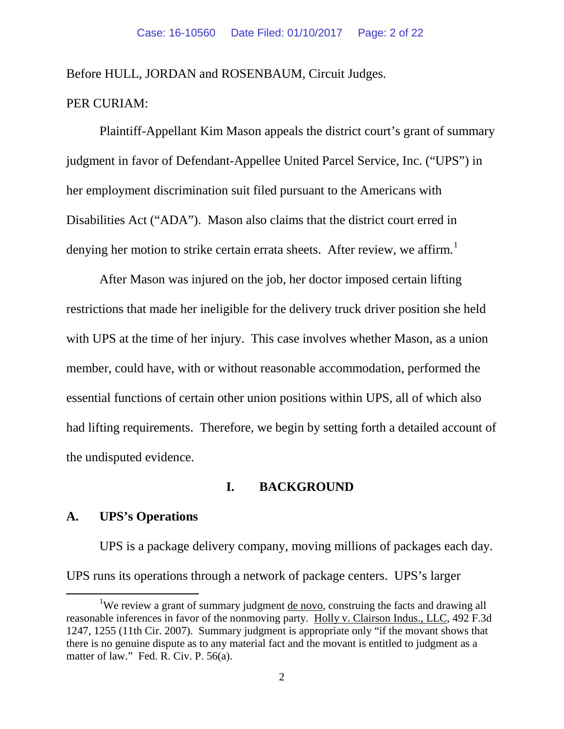Before HULL, JORDAN and ROSENBAUM, Circuit Judges.

## PER CURIAM:

Plaintiff-Appellant Kim Mason appeals the district court's grant of summary judgment in favor of Defendant-Appellee United Parcel Service, Inc. ("UPS") in her employment discrimination suit filed pursuant to the Americans with Disabilities Act ("ADA"). Mason also claims that the district court erred in denying her motion to strike certain errata sheets. After review, we affirm.<sup>[1](#page-1-0)</sup>

After Mason was injured on the job, her doctor imposed certain lifting restrictions that made her ineligible for the delivery truck driver position she held with UPS at the time of her injury. This case involves whether Mason, as a union member, could have, with or without reasonable accommodation, performed the essential functions of certain other union positions within UPS, all of which also had lifting requirements. Therefore, we begin by setting forth a detailed account of the undisputed evidence.

## **I. BACKGROUND**

## **A. UPS's Operations**

UPS is a package delivery company, moving millions of packages each day. UPS runs its operations through a network of package centers. UPS's larger

<span id="page-1-0"></span><sup>1&</sup>lt;sup>1</sup> <sup>1</sup>We review a grant of summary judgment de novo, construing the facts and drawing all reasonable inferences in favor of the nonmoving party. Holly v. Clairson Indus., LLC, 492 F.3d 1247, 1255 (11th Cir. 2007). Summary judgment is appropriate only "if the movant shows that there is no genuine dispute as to any material fact and the movant is entitled to judgment as a matter of law." Fed. R. Civ. P. 56(a).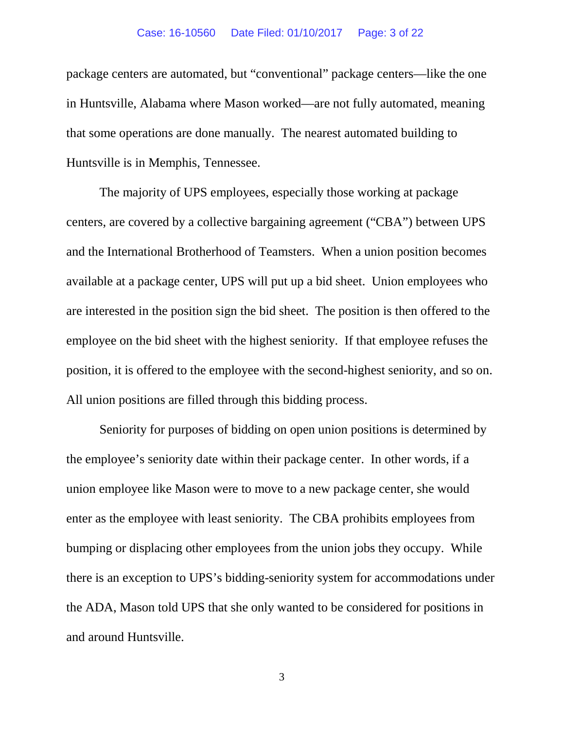### Case: 16-10560 Date Filed: 01/10/2017 Page: 3 of 22

package centers are automated, but "conventional" package centers—like the one in Huntsville, Alabama where Mason worked—are not fully automated, meaning that some operations are done manually. The nearest automated building to Huntsville is in Memphis, Tennessee.

The majority of UPS employees, especially those working at package centers, are covered by a collective bargaining agreement ("CBA") between UPS and the International Brotherhood of Teamsters. When a union position becomes available at a package center, UPS will put up a bid sheet. Union employees who are interested in the position sign the bid sheet. The position is then offered to the employee on the bid sheet with the highest seniority. If that employee refuses the position, it is offered to the employee with the second-highest seniority, and so on. All union positions are filled through this bidding process.

Seniority for purposes of bidding on open union positions is determined by the employee's seniority date within their package center. In other words, if a union employee like Mason were to move to a new package center, she would enter as the employee with least seniority. The CBA prohibits employees from bumping or displacing other employees from the union jobs they occupy. While there is an exception to UPS's bidding-seniority system for accommodations under the ADA, Mason told UPS that she only wanted to be considered for positions in and around Huntsville.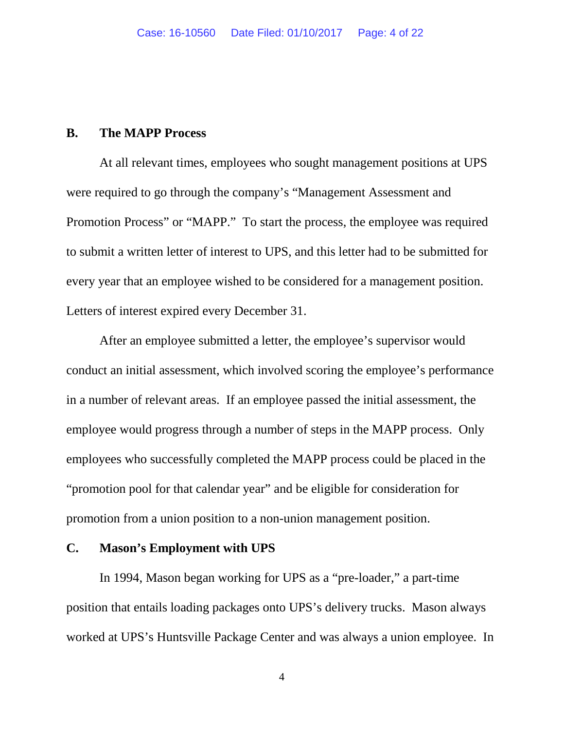## **B. The MAPP Process**

At all relevant times, employees who sought management positions at UPS were required to go through the company's "Management Assessment and Promotion Process" or "MAPP." To start the process, the employee was required to submit a written letter of interest to UPS, and this letter had to be submitted for every year that an employee wished to be considered for a management position. Letters of interest expired every December 31.

After an employee submitted a letter, the employee's supervisor would conduct an initial assessment, which involved scoring the employee's performance in a number of relevant areas. If an employee passed the initial assessment, the employee would progress through a number of steps in the MAPP process. Only employees who successfully completed the MAPP process could be placed in the "promotion pool for that calendar year" and be eligible for consideration for promotion from a union position to a non-union management position.

### **C. Mason's Employment with UPS**

In 1994, Mason began working for UPS as a "pre-loader," a part-time position that entails loading packages onto UPS's delivery trucks. Mason always worked at UPS's Huntsville Package Center and was always a union employee. In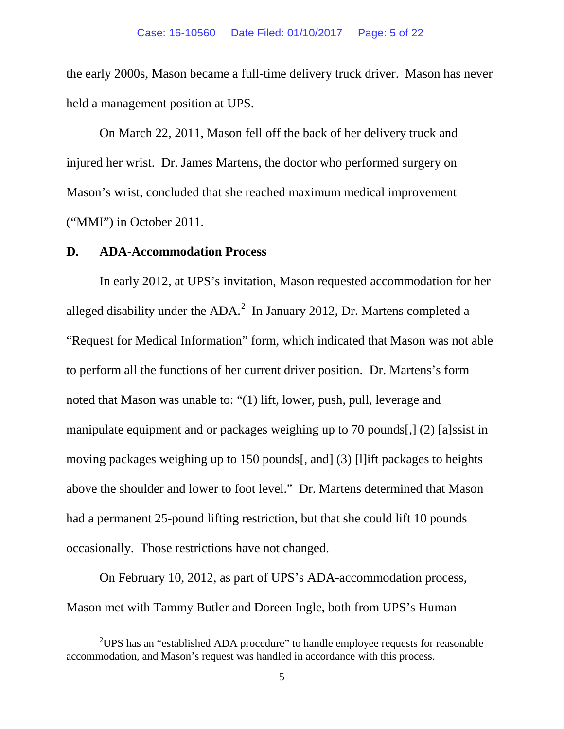the early 2000s, Mason became a full-time delivery truck driver. Mason has never held a management position at UPS.

On March 22, 2011, Mason fell off the back of her delivery truck and injured her wrist. Dr. James Martens, the doctor who performed surgery on Mason's wrist, concluded that she reached maximum medical improvement ("MMI") in October 2011.

### **D. ADA-Accommodation Process**

In early 2012, at UPS's invitation, Mason requested accommodation for her alleged disability under the ADA. $^2$  $^2$  In January 2012, Dr. Martens completed a "Request for Medical Information" form, which indicated that Mason was not able to perform all the functions of her current driver position. Dr. Martens's form noted that Mason was unable to: "(1) lift, lower, push, pull, leverage and manipulate equipment and or packages weighing up to 70 pounds[,] (2) [a]ssist in moving packages weighing up to 150 pounds[, and] (3) [l]ift packages to heights above the shoulder and lower to foot level." Dr. Martens determined that Mason had a permanent 25-pound lifting restriction, but that she could lift 10 pounds occasionally. Those restrictions have not changed.

On February 10, 2012, as part of UPS's ADA-accommodation process, Mason met with Tammy Butler and Doreen Ingle, both from UPS's Human

<span id="page-4-0"></span> $\frac{1}{2}$ <sup>2</sup> UPS has an "established ADA procedure" to handle employee requests for reasonable accommodation, and Mason's request was handled in accordance with this process.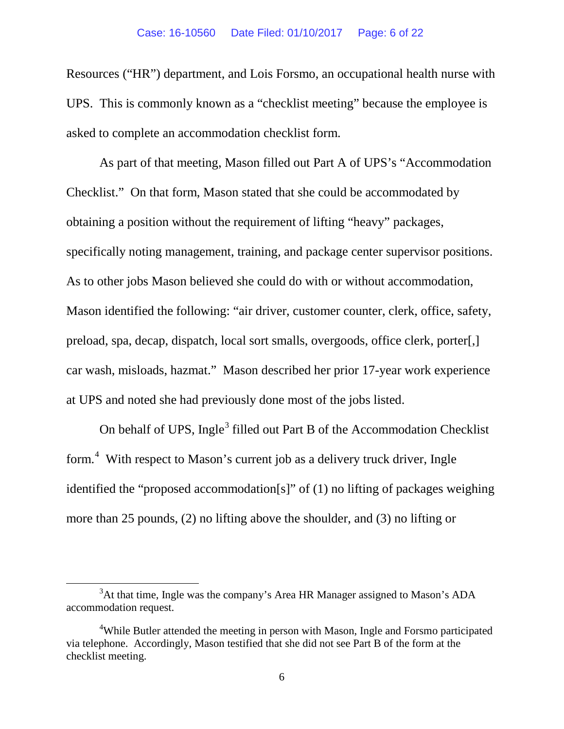Resources ("HR") department, and Lois Forsmo, an occupational health nurse with UPS. This is commonly known as a "checklist meeting" because the employee is asked to complete an accommodation checklist form.

As part of that meeting, Mason filled out Part A of UPS's "Accommodation Checklist." On that form, Mason stated that she could be accommodated by obtaining a position without the requirement of lifting "heavy" packages, specifically noting management, training, and package center supervisor positions. As to other jobs Mason believed she could do with or without accommodation, Mason identified the following: "air driver, customer counter, clerk, office, safety, preload, spa, decap, dispatch, local sort smalls, overgoods, office clerk, porter[,] car wash, misloads, hazmat." Mason described her prior 17-year work experience at UPS and noted she had previously done most of the jobs listed.

On behalf of UPS, Ingle<sup>[3](#page-5-0)</sup> filled out Part B of the Accommodation Checklist form.[4](#page-5-1) With respect to Mason's current job as a delivery truck driver, Ingle identified the "proposed accommodation[s]" of (1) no lifting of packages weighing more than 25 pounds, (2) no lifting above the shoulder, and (3) no lifting or

<span id="page-5-0"></span> $\frac{1}{3}$  $3$ At that time, Ingle was the company's Area HR Manager assigned to Mason's ADA accommodation request.

<span id="page-5-1"></span><sup>&</sup>lt;sup>4</sup>While Butler attended the meeting in person with Mason, Ingle and Forsmo participated via telephone. Accordingly, Mason testified that she did not see Part B of the form at the checklist meeting.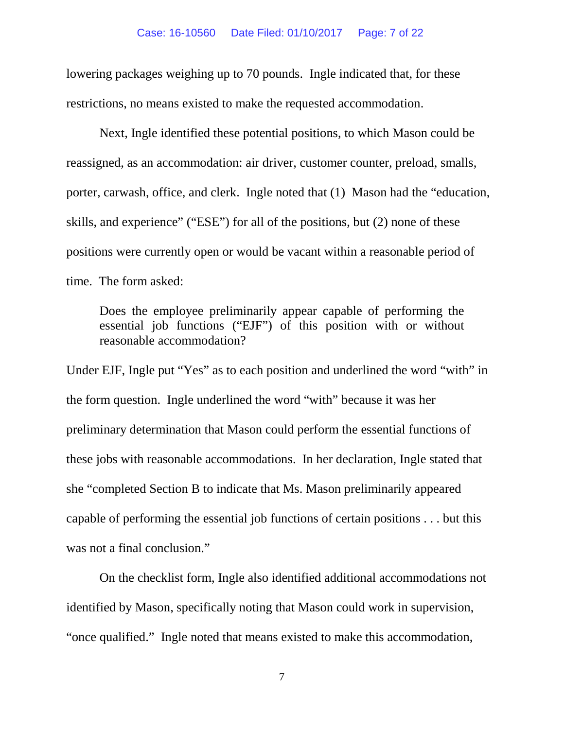lowering packages weighing up to 70 pounds. Ingle indicated that, for these restrictions, no means existed to make the requested accommodation.

Next, Ingle identified these potential positions, to which Mason could be reassigned, as an accommodation: air driver, customer counter, preload, smalls, porter, carwash, office, and clerk. Ingle noted that (1) Mason had the "education, skills, and experience" ("ESE") for all of the positions, but (2) none of these positions were currently open or would be vacant within a reasonable period of time. The form asked:

Does the employee preliminarily appear capable of performing the essential job functions ("EJF") of this position with or without reasonable accommodation?

Under EJF, Ingle put "Yes" as to each position and underlined the word "with" in the form question. Ingle underlined the word "with" because it was her preliminary determination that Mason could perform the essential functions of these jobs with reasonable accommodations. In her declaration, Ingle stated that she "completed Section B to indicate that Ms. Mason preliminarily appeared capable of performing the essential job functions of certain positions . . . but this was not a final conclusion."

On the checklist form, Ingle also identified additional accommodations not identified by Mason, specifically noting that Mason could work in supervision, "once qualified." Ingle noted that means existed to make this accommodation,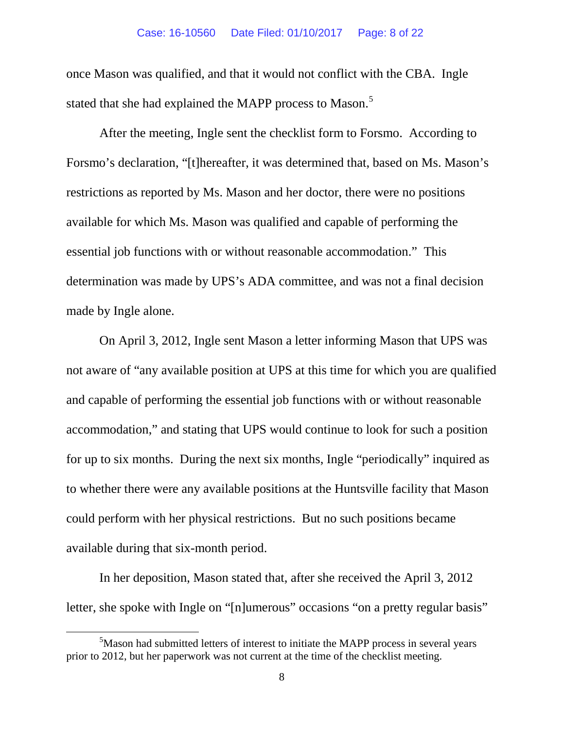once Mason was qualified, and that it would not conflict with the CBA. Ingle stated that she had explained the MAPP process to Mason.<sup>[5](#page-7-0)</sup>

After the meeting, Ingle sent the checklist form to Forsmo. According to Forsmo's declaration, "[t]hereafter, it was determined that, based on Ms. Mason's restrictions as reported by Ms. Mason and her doctor, there were no positions available for which Ms. Mason was qualified and capable of performing the essential job functions with or without reasonable accommodation."This determination was made by UPS's ADA committee, and was not a final decision made by Ingle alone.

On April 3, 2012, Ingle sent Mason a letter informing Mason that UPS was not aware of "any available position at UPS at this time for which you are qualified and capable of performing the essential job functions with or without reasonable accommodation," and stating that UPS would continue to look for such a position for up to six months. During the next six months, Ingle "periodically" inquired as to whether there were any available positions at the Huntsville facility that Mason could perform with her physical restrictions. But no such positions became available during that six-month period.

In her deposition, Mason stated that, after she received the April 3, 2012 letter, she spoke with Ingle on "[n]umerous" occasions "on a pretty regular basis"

<span id="page-7-0"></span> $rac{1}{5}$ <sup>5</sup>Mason had submitted letters of interest to initiate the MAPP process in several years prior to 2012, but her paperwork was not current at the time of the checklist meeting.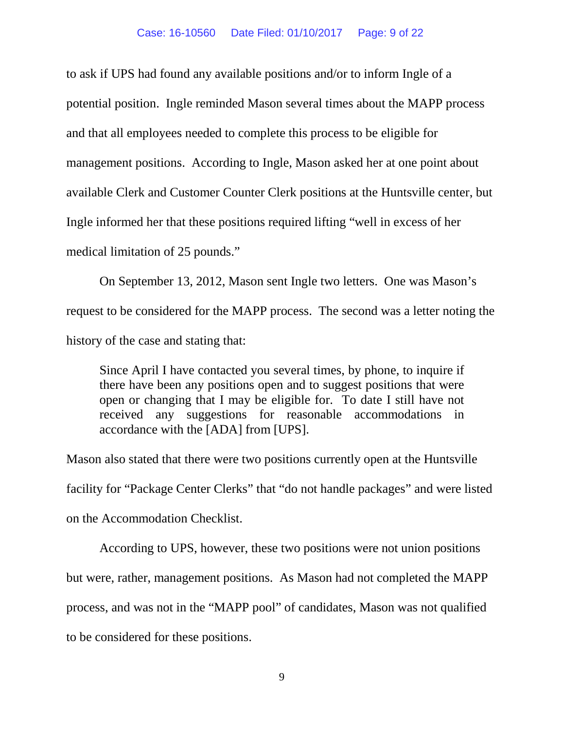to ask if UPS had found any available positions and/or to inform Ingle of a potential position. Ingle reminded Mason several times about the MAPP process and that all employees needed to complete this process to be eligible for management positions. According to Ingle, Mason asked her at one point about available Clerk and Customer Counter Clerk positions at the Huntsville center, but Ingle informed her that these positions required lifting "well in excess of her medical limitation of 25 pounds."

On September 13, 2012, Mason sent Ingle two letters. One was Mason's request to be considered for the MAPP process. The second was a letter noting the history of the case and stating that:

Since April I have contacted you several times, by phone, to inquire if there have been any positions open and to suggest positions that were open or changing that I may be eligible for. To date I still have not received any suggestions for reasonable accommodations in accordance with the [ADA] from [UPS].

Mason also stated that there were two positions currently open at the Huntsville facility for "Package Center Clerks" that "do not handle packages" and were listed on the Accommodation Checklist.

According to UPS, however, these two positions were not union positions but were, rather, management positions. As Mason had not completed the MAPP process, and was not in the "MAPP pool" of candidates, Mason was not qualified to be considered for these positions.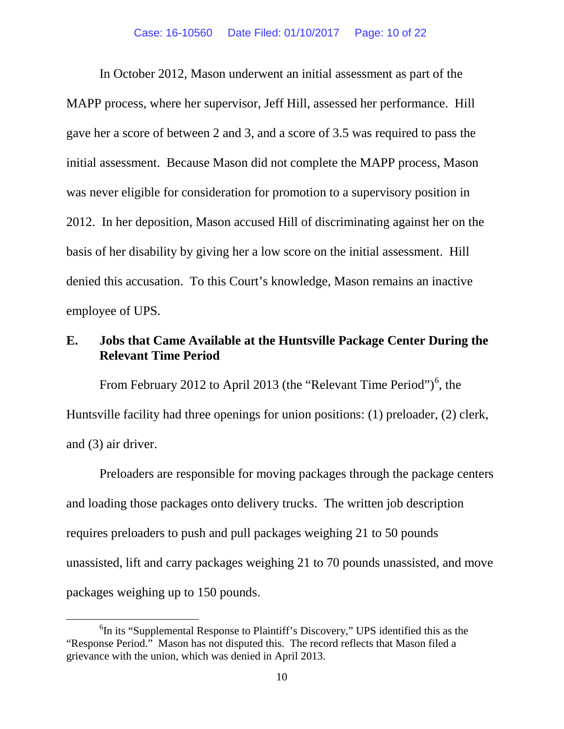In October 2012, Mason underwent an initial assessment as part of the MAPP process, where her supervisor, Jeff Hill, assessed her performance. Hill gave her a score of between 2 and 3, and a score of 3.5 was required to pass the initial assessment. Because Mason did not complete the MAPP process, Mason was never eligible for consideration for promotion to a supervisory position in 2012. In her deposition, Mason accused Hill of discriminating against her on the basis of her disability by giving her a low score on the initial assessment. Hill denied this accusation.To this Court's knowledge, Mason remains an inactive employee of UPS.

## **E. Jobs that Came Available at the Huntsville Package Center During the Relevant Time Period**

From February 2012 to April 2013 (the "Relevant Time Period")<sup>[6](#page-9-0)</sup>, the Huntsville facility had three openings for union positions: (1) preloader, (2) clerk, and (3) air driver.

Preloaders are responsible for moving packages through the package centers and loading those packages onto delivery trucks. The written job description requires preloaders to push and pull packages weighing 21 to 50 pounds unassisted, lift and carry packages weighing 21 to 70 pounds unassisted, and move packages weighing up to 150 pounds.

<span id="page-9-0"></span> $\overline{6}$  ${}^{6}$ In its "Supplemental Response to Plaintiff's Discovery," UPS identified this as the "Response Period." Mason has not disputed this. The record reflects that Mason filed a grievance with the union, which was denied in April 2013.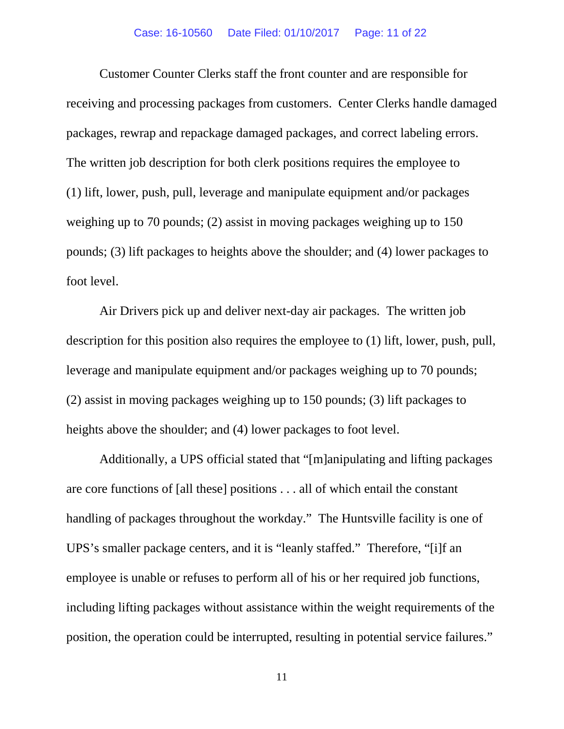Customer Counter Clerks staff the front counter and are responsible for receiving and processing packages from customers. Center Clerks handle damaged packages, rewrap and repackage damaged packages, and correct labeling errors. The written job description for both clerk positions requires the employee to (1) lift, lower, push, pull, leverage and manipulate equipment and/or packages weighing up to 70 pounds; (2) assist in moving packages weighing up to 150 pounds; (3) lift packages to heights above the shoulder; and (4) lower packages to foot level.

Air Drivers pick up and deliver next-day air packages. The written job description for this position also requires the employee to (1) lift, lower, push, pull, leverage and manipulate equipment and/or packages weighing up to 70 pounds; (2) assist in moving packages weighing up to 150 pounds; (3) lift packages to heights above the shoulder; and (4) lower packages to foot level.

Additionally, a UPS official stated that "[m]anipulating and lifting packages are core functions of [all these] positions . . . all of which entail the constant handling of packages throughout the workday." The Huntsville facility is one of UPS's smaller package centers, and it is "leanly staffed." Therefore, "[i]f an employee is unable or refuses to perform all of his or her required job functions, including lifting packages without assistance within the weight requirements of the position, the operation could be interrupted, resulting in potential service failures."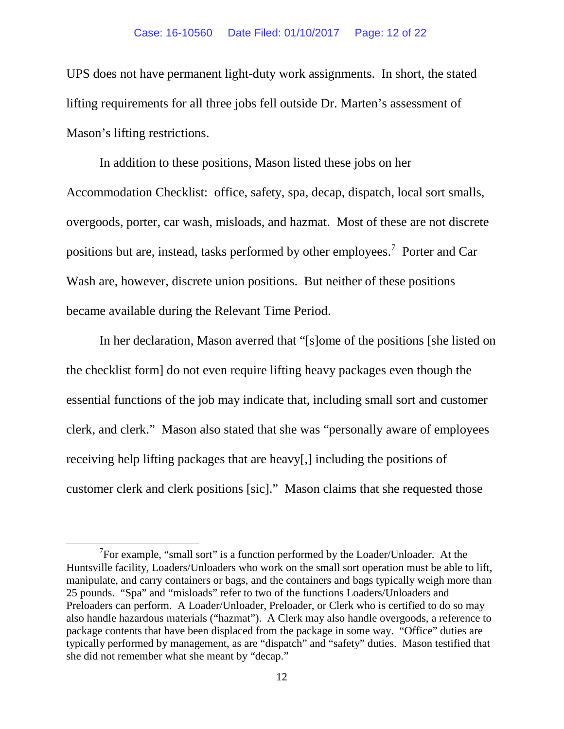UPS does not have permanent light-duty work assignments.In short, the stated lifting requirements for all three jobs fell outside Dr. Marten's assessment of Mason's lifting restrictions.

In addition to these positions, Mason listed these jobs on her Accommodation Checklist: office, safety, spa, decap, dispatch, local sort smalls, overgoods, porter, car wash, misloads, and hazmat. Most of these are not discrete positions but are, instead, tasks performed by other employees.<sup>[7](#page-11-0)</sup> Porter and Car Wash are, however, discrete union positions. But neither of these positions became available during the Relevant Time Period.

In her declaration, Mason averred that "[s]ome of the positions [she listed on the checklist form] do not even require lifting heavy packages even though the essential functions of the job may indicate that, including small sort and customer clerk, and clerk." Mason also stated that she was "personally aware of employees receiving help lifting packages that are heavy[,] including the positions of customer clerk and clerk positions [sic]." Mason claims that she requested those

<span id="page-11-0"></span> $\overline{7}$  $\sigma$ <sup>7</sup>For example, "small sort" is a function performed by the Loader/Unloader. At the Huntsville facility, Loaders/Unloaders who work on the small sort operation must be able to lift, manipulate, and carry containers or bags, and the containers and bags typically weigh more than 25 pounds. "Spa" and "misloads" refer to two of the functions Loaders/Unloaders and Preloaders can perform. A Loader/Unloader, Preloader, or Clerk who is certified to do so may also handle hazardous materials ("hazmat"). A Clerk may also handle overgoods, a reference to package contents that have been displaced from the package in some way. "Office" duties are typically performed by management, as are "dispatch" and "safety" duties. Mason testified that she did not remember what she meant by "decap."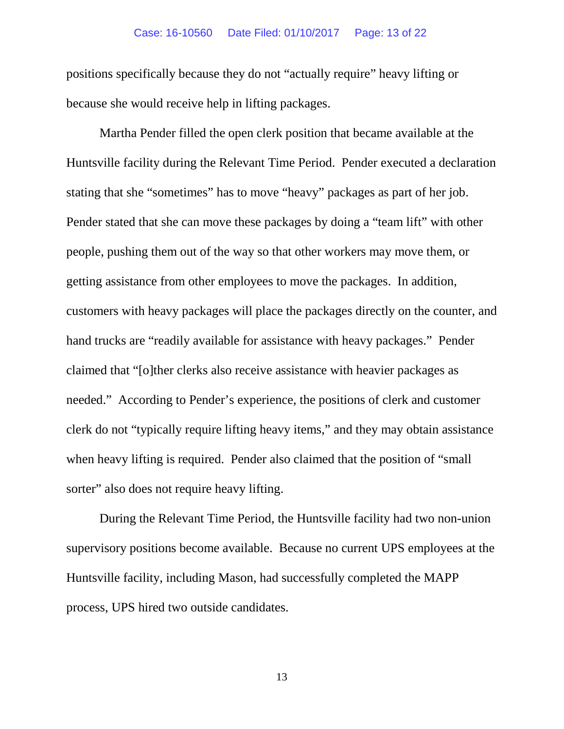### Case: 16-10560 Date Filed: 01/10/2017 Page: 13 of 22

positions specifically because they do not "actually require" heavy lifting or because she would receive help in lifting packages.

Martha Pender filled the open clerk position that became available at the Huntsville facility during the Relevant Time Period. Pender executed a declaration stating that she "sometimes" has to move "heavy" packages as part of her job. Pender stated that she can move these packages by doing a "team lift" with other people, pushing them out of the way so that other workers may move them, or getting assistance from other employees to move the packages. In addition, customers with heavy packages will place the packages directly on the counter, and hand trucks are "readily available for assistance with heavy packages." Pender claimed that "[o]ther clerks also receive assistance with heavier packages as needed." According to Pender's experience, the positions of clerk and customer clerk do not "typically require lifting heavy items," and they may obtain assistance when heavy lifting is required. Pender also claimed that the position of "small sorter" also does not require heavy lifting.

During the Relevant Time Period, the Huntsville facility had two non-union supervisory positions become available. Because no current UPS employees at the Huntsville facility, including Mason, had successfully completed the MAPP process, UPS hired two outside candidates.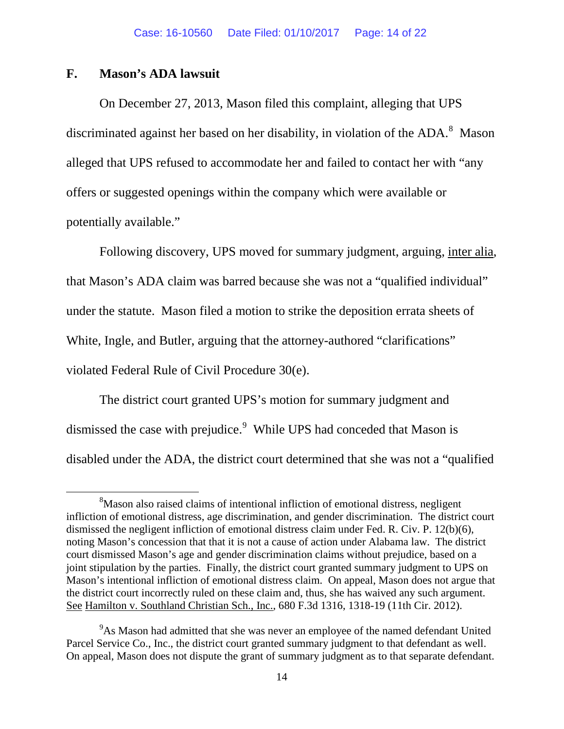## **F. Mason's ADA lawsuit**

On December 27, 2013, Mason filed this complaint, alleging that UPS discriminated against her based on her disability, in violation of the ADA.<sup>[8](#page-13-0)</sup> Mason alleged that UPS refused to accommodate her and failed to contact her with "any offers or suggested openings within the company which were available or potentially available."

Following discovery, UPS moved for summary judgment, arguing, inter alia, that Mason's ADA claim was barred because she was not a "qualified individual" under the statute. Mason filed a motion to strike the deposition errata sheets of White, Ingle, and Butler, arguing that the attorney-authored "clarifications" violated Federal Rule of Civil Procedure 30(e).

The district court granted UPS's motion for summary judgment and dismissed the case with prejudice.<sup>[9](#page-13-1)</sup> While UPS had conceded that Mason is disabled under the ADA, the district court determined that she was not a "qualified

<span id="page-13-0"></span> <sup>8</sup> <sup>8</sup>Mason also raised claims of intentional infliction of emotional distress, negligent infliction of emotional distress, age discrimination, and gender discrimination. The district court dismissed the negligent infliction of emotional distress claim under Fed. R. Civ. P. 12(b)(6), noting Mason's concession that that it is not a cause of action under Alabama law. The district court dismissed Mason's age and gender discrimination claims without prejudice, based on a joint stipulation by the parties. Finally, the district court granted summary judgment to UPS on Mason's intentional infliction of emotional distress claim. On appeal, Mason does not argue that the district court incorrectly ruled on these claim and, thus, she has waived any such argument. See Hamilton v. Southland Christian Sch., Inc., 680 F.3d 1316, 1318-19 (11th Cir. 2012).

<span id="page-13-1"></span><sup>&</sup>lt;sup>9</sup>As Mason had admitted that she was never an employee of the named defendant United Parcel Service Co., Inc., the district court granted summary judgment to that defendant as well. On appeal, Mason does not dispute the grant of summary judgment as to that separate defendant.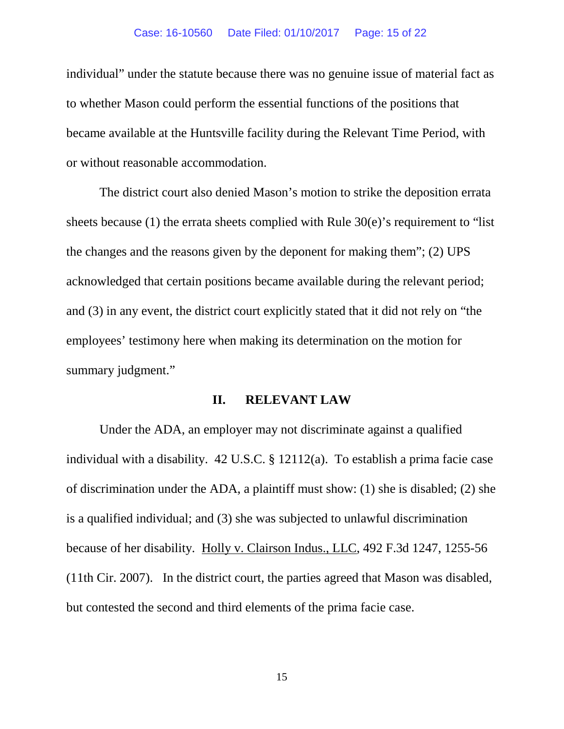#### Case: 16-10560 Date Filed: 01/10/2017 Page: 15 of 22

individual" under the statute because there was no genuine issue of material fact as to whether Mason could perform the essential functions of the positions that became available at the Huntsville facility during the Relevant Time Period, with or without reasonable accommodation.

The district court also denied Mason's motion to strike the deposition errata sheets because (1) the errata sheets complied with Rule  $30(e)$ 's requirement to "list" the changes and the reasons given by the deponent for making them"; (2) UPS acknowledged that certain positions became available during the relevant period; and (3) in any event, the district court explicitly stated that it did not rely on "the employees' testimony here when making its determination on the motion for summary judgment."

### **II. RELEVANT LAW**

Under the ADA, an employer may not discriminate against a qualified individual with a disability. 42 U.S.C. § 12112(a). To establish a prima facie case of discrimination under the ADA, a plaintiff must show: (1) she is disabled; (2) she is a qualified individual; and (3) she was subjected to unlawful discrimination because of her disability. Holly v. Clairson Indus., LLC, 492 F.3d 1247, 1255-56 (11th Cir. 2007). In the district court, the parties agreed that Mason was disabled, but contested the second and third elements of the prima facie case.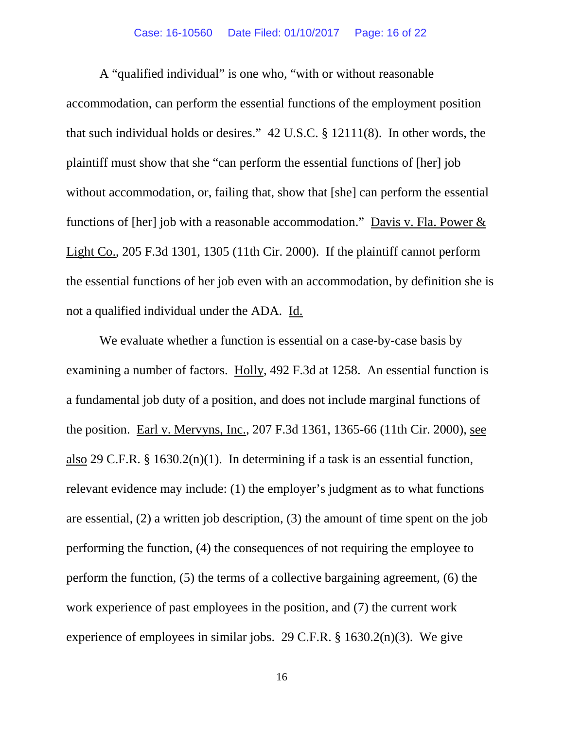### Case: 16-10560 Date Filed: 01/10/2017 Page: 16 of 22

A "qualified individual" is one who, "with or without reasonable accommodation, can perform the essential functions of the employment position that such individual holds or desires." 42 U.S.C. § 12111(8). In other words, the plaintiff must show that she "can perform the essential functions of [her] job without accommodation, or, failing that, show that [she] can perform the essential functions of [her] job with a reasonable accommodation." Davis v. Fla. Power  $&$ Light Co., 205 F.3d 1301, 1305 (11th Cir. 2000). If the plaintiff cannot perform the essential functions of her job even with an accommodation, by definition she is not a qualified individual under the ADA. Id.

We evaluate whether a function is essential on a case-by-case basis by examining a number of factors. Holly, 492 F.3d at 1258. An essential function is a fundamental job duty of a position, and does not include marginal functions of the position. Earl v. Mervyns, Inc., 207 F.3d 1361, 1365-66 (11th Cir. 2000), see also 29 C.F.R. § 1630.2(n)(1). In determining if a task is an essential function, relevant evidence may include: (1) the employer's judgment as to what functions are essential, (2) a written job description, (3) the amount of time spent on the job performing the function, (4) the consequences of not requiring the employee to perform the function, (5) the terms of a collective bargaining agreement, (6) the work experience of past employees in the position, and (7) the current work experience of employees in similar jobs. 29 C.F.R. § 1630.2(n)(3). We give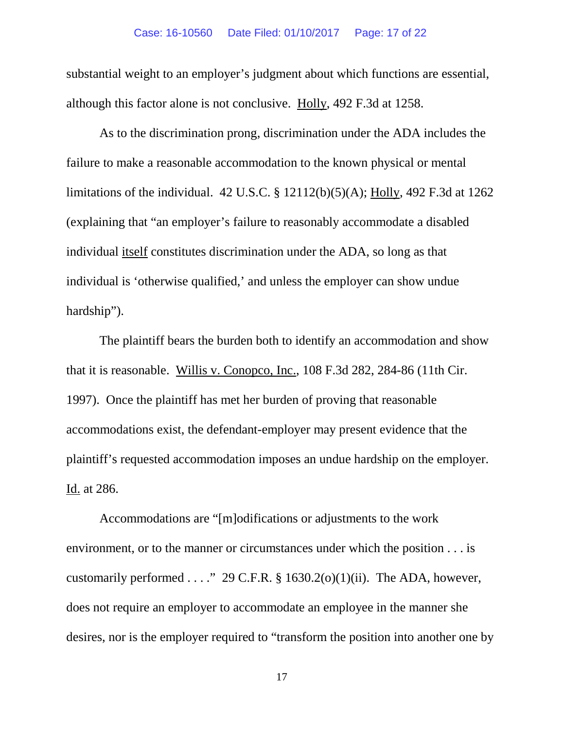substantial weight to an employer's judgment about which functions are essential, although this factor alone is not conclusive. Holly, 492 F.3d at 1258.

As to the discrimination prong, discrimination under the ADA includes the failure to make a reasonable accommodation to the known physical or mental limitations of the individual. 42 U.S.C. § 12112(b)(5)(A); Holly, 492 F.3d at 1262 (explaining that "an employer's failure to reasonably accommodate a disabled individual itself constitutes discrimination under the ADA, so long as that individual is 'otherwise qualified,' and unless the employer can show undue hardship").

The plaintiff bears the burden both to identify an accommodation and show that it is reasonable. Willis v. Conopco, Inc., 108 F.3d 282, 284-86 (11th Cir. 1997). Once the plaintiff has met her burden of proving that reasonable accommodations exist, the defendant-employer may present evidence that the plaintiff's requested accommodation imposes an undue hardship on the employer. Id. at 286.

Accommodations are "[m]odifications or adjustments to the work environment, or to the manner or circumstances under which the position . . . is customarily performed  $\ldots$ ." 29 C.F.R. § 1630.2(o)(1)(ii). The ADA, however, does not require an employer to accommodate an employee in the manner she desires, nor is the employer required to "transform the position into another one by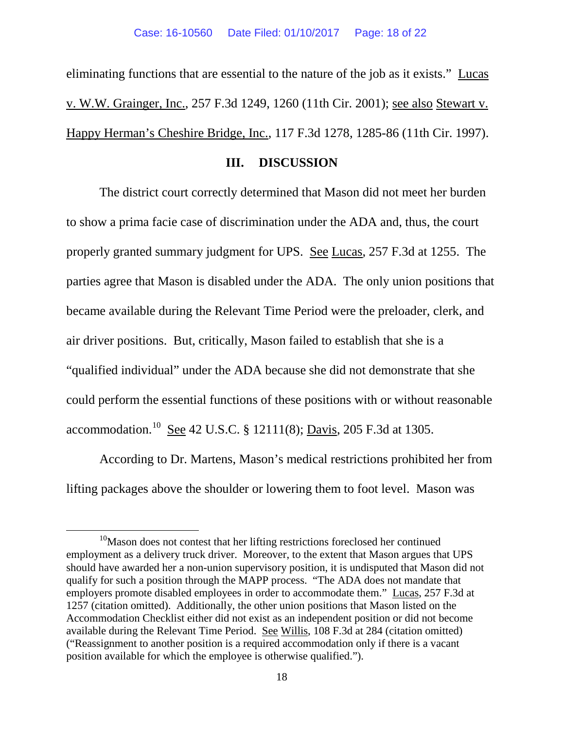eliminating functions that are essential to the nature of the job as it exists." Lucas v. W.W. Grainger, Inc., 257 F.3d 1249, 1260 (11th Cir. 2001); see also Stewart v. Happy Herman's Cheshire Bridge, Inc., 117 F.3d 1278, 1285-86 (11th Cir. 1997).

### **III. DISCUSSION**

The district court correctly determined that Mason did not meet her burden to show a prima facie case of discrimination under the ADA and, thus, the court properly granted summary judgment for UPS. See Lucas, 257 F.3d at 1255. The parties agree that Mason is disabled under the ADA. The only union positions that became available during the Relevant Time Period were the preloader, clerk, and air driver positions. But, critically, Mason failed to establish that she is a "qualified individual" under the ADA because she did not demonstrate that she could perform the essential functions of these positions with or without reasonable accommodation.[10](#page-17-0) See 42 U.S.C. § 12111(8); Davis, 205 F.3d at 1305.

According to Dr. Martens, Mason's medical restrictions prohibited her from lifting packages above the shoulder or lowering them to foot level. Mason was

<span id="page-17-0"></span><sup>&</sup>lt;sup>10</sup>Mason does not contest that her lifting restrictions foreclosed her continued employment as a delivery truck driver. Moreover, to the extent that Mason argues that UPS should have awarded her a non-union supervisory position, it is undisputed that Mason did not qualify for such a position through the MAPP process. "The ADA does not mandate that employers promote disabled employees in order to accommodate them." Lucas, 257 F.3d at 1257 (citation omitted). Additionally, the other union positions that Mason listed on the Accommodation Checklist either did not exist as an independent position or did not become available during the Relevant Time Period. See Willis, 108 F.3d at 284 (citation omitted) ("Reassignment to another position is a required accommodation only if there is a vacant position available for which the employee is otherwise qualified.").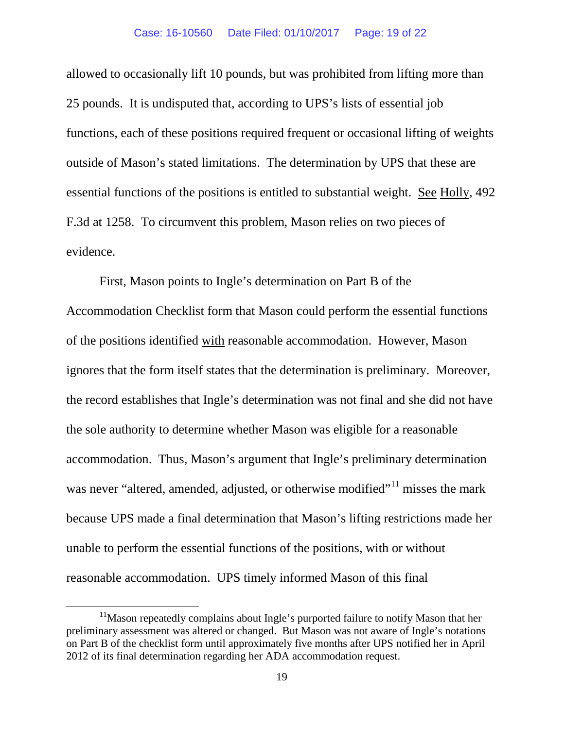allowed to occasionally lift 10 pounds, but was prohibited from lifting more than 25 pounds. It is undisputed that, according to UPS's lists of essential job functions, each of these positions required frequent or occasional lifting of weights outside of Mason's stated limitations. The determination by UPS that these are essential functions of the positions is entitled to substantial weight. See Holly, 492 F.3d at 1258. To circumvent this problem, Mason relies on two pieces of evidence.

First, Mason points to Ingle's determination on Part B of the Accommodation Checklist form that Mason could perform the essential functions of the positions identified with reasonable accommodation. However, Mason ignores that the form itself states that the determination is preliminary. Moreover, the record establishes that Ingle's determination was not final and she did not have the sole authority to determine whether Mason was eligible for a reasonable accommodation. Thus, Mason's argument that Ingle's preliminary determination was never "altered, amended, adjusted, or otherwise modified"<sup>[11](#page-18-0)</sup> misses the mark because UPS made a final determination that Mason's lifting restrictions made her unable to perform the essential functions of the positions, with or without reasonable accommodation. UPS timely informed Mason of this final

<span id="page-18-0"></span><sup>&</sup>lt;sup>11</sup>Mason repeatedly complains about Ingle's purported failure to notify Mason that her preliminary assessment was altered or changed. But Mason was not aware of Ingle's notations on Part B of the checklist form until approximately five months after UPS notified her in April 2012 of its final determination regarding her ADA accommodation request.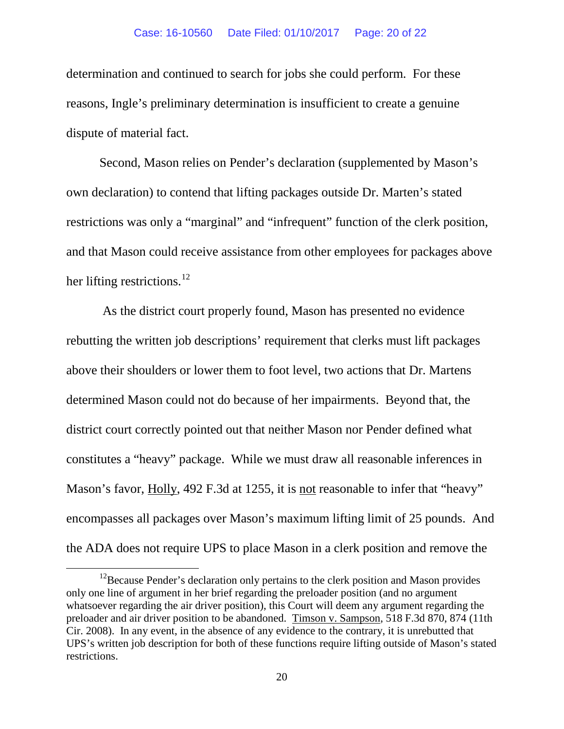determination and continued to search for jobs she could perform. For these reasons, Ingle's preliminary determination is insufficient to create a genuine dispute of material fact.

Second, Mason relies on Pender's declaration (supplemented by Mason's own declaration) to contend that lifting packages outside Dr. Marten's stated restrictions was only a "marginal" and "infrequent" function of the clerk position, and that Mason could receive assistance from other employees for packages above her lifting restrictions.<sup>[12](#page-19-0)</sup>

As the district court properly found, Mason has presented no evidence rebutting the written job descriptions' requirement that clerks must lift packages above their shoulders or lower them to foot level, two actions that Dr. Martens determined Mason could not do because of her impairments. Beyond that, the district court correctly pointed out that neither Mason nor Pender defined what constitutes a "heavy" package. While we must draw all reasonable inferences in Mason's favor, Holly, 492 F.3d at 1255, it is not reasonable to infer that "heavy" encompasses all packages over Mason's maximum lifting limit of 25 pounds. And the ADA does not require UPS to place Mason in a clerk position and remove the

<span id="page-19-0"></span><sup>&</sup>lt;sup>12</sup>Because Pender's declaration only pertains to the clerk position and Mason provides only one line of argument in her brief regarding the preloader position (and no argument whatsoever regarding the air driver position), this Court will deem any argument regarding the preloader and air driver position to be abandoned. Timson v. Sampson, 518 F.3d 870, 874 (11th Cir. 2008). In any event, in the absence of any evidence to the contrary, it is unrebutted that UPS's written job description for both of these functions require lifting outside of Mason's stated restrictions.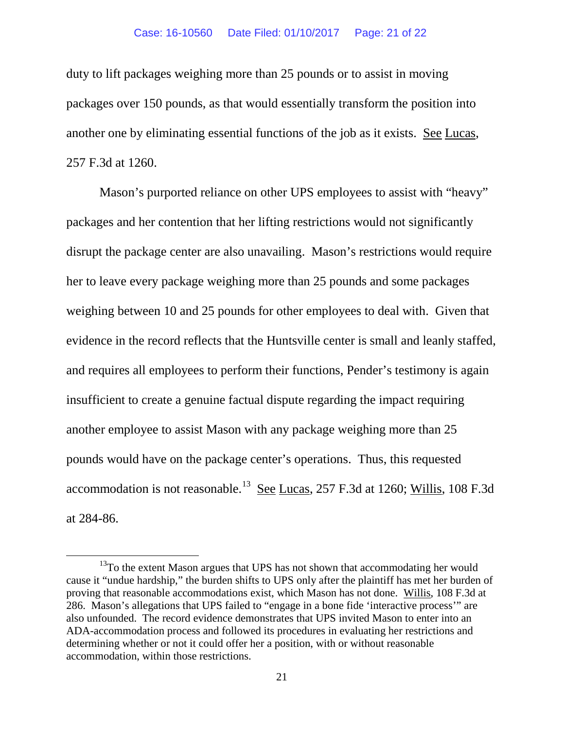duty to lift packages weighing more than 25 pounds or to assist in moving packages over 150 pounds, as that would essentially transform the position into another one by eliminating essential functions of the job as it exists. See Lucas, 257 F.3d at 1260.

Mason's purported reliance on other UPS employees to assist with "heavy" packages and her contention that her lifting restrictions would not significantly disrupt the package center are also unavailing. Mason's restrictions would require her to leave every package weighing more than 25 pounds and some packages weighing between 10 and 25 pounds for other employees to deal with. Given that evidence in the record reflects that the Huntsville center is small and leanly staffed, and requires all employees to perform their functions, Pender's testimony is again insufficient to create a genuine factual dispute regarding the impact requiring another employee to assist Mason with any package weighing more than 25 pounds would have on the package center's operations. Thus, this requested accommodation is not reasonable.<sup>[13](#page-20-0)</sup> See Lucas, 257 F.3d at 1260; Willis, 108 F.3d at 284-86.

<span id="page-20-0"></span><sup>&</sup>lt;sup>13</sup>To the extent Mason argues that UPS has not shown that accommodating her would cause it "undue hardship," the burden shifts to UPS only after the plaintiff has met her burden of proving that reasonable accommodations exist, which Mason has not done. Willis, 108 F.3d at 286. Mason's allegations that UPS failed to "engage in a bone fide 'interactive process'" are also unfounded. The record evidence demonstrates that UPS invited Mason to enter into an ADA-accommodation process and followed its procedures in evaluating her restrictions and determining whether or not it could offer her a position, with or without reasonable accommodation, within those restrictions.